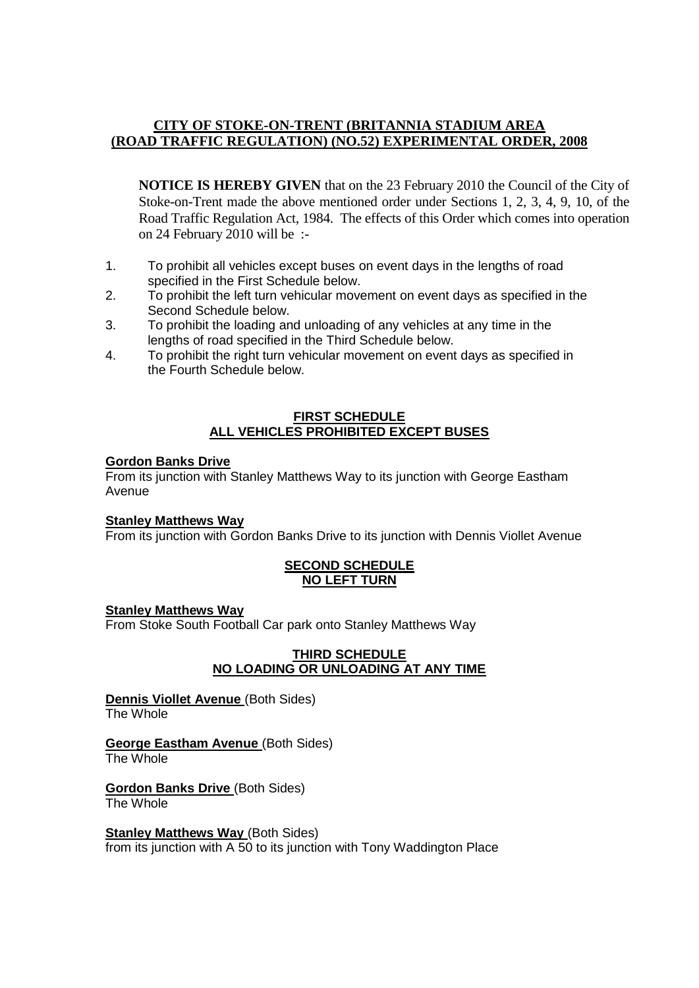## **CITY OF STOKE-ON-TRENT (BRITANNIA STADIUM AREA (ROAD TRAFFIC REGULATION) (NO.52) EXPERIMENTAL ORDER, 2008**

**NOTICE IS HEREBY GIVEN** that on the 23 February 2010 the Council of the City of Stoke-on-Trent made the above mentioned order under Sections 1, 2, 3, 4, 9, 10, of the Road Traffic Regulation Act, 1984. The effects of this Order which comes into operation on 24 February 2010 will be :-

- 1. To prohibit all vehicles except buses on event days in the lengths of road specified in the First Schedule below.
- 2. To prohibit the left turn vehicular movement on event days as specified in the Second Schedule below.
- 3. To prohibit the loading and unloading of any vehicles at any time in the lengths of road specified in the Third Schedule below.
- 4. To prohibit the right turn vehicular movement on event days as specified in the Fourth Schedule below.

#### **FIRST SCHEDULE ALL VEHICLES PROHIBITED EXCEPT BUSES**

## **Gordon Banks Drive**

From its junction with Stanley Matthews Way to its junction with George Eastham Avenue

## **Stanley Matthews Way**

From its junction with Gordon Banks Drive to its junction with Dennis Viollet Avenue

#### **SECOND SCHEDULE NO LEFT TURN**

## **Stanley Matthews Way**

From Stoke South Football Car park onto Stanley Matthews Way

#### **THIRD SCHEDULE NO LOADING OR UNLOADING AT ANY TIME**

**Dennis Viollet Avenue (Both Sides)** The Whole

#### **George Eastham Avenue** (Both Sides) The Whole

**Gordon Banks Drive** (Both Sides) The Whole

**Stanley Matthews Way (Both Sides)** from its junction with A 50 to its junction with Tony Waddington Place